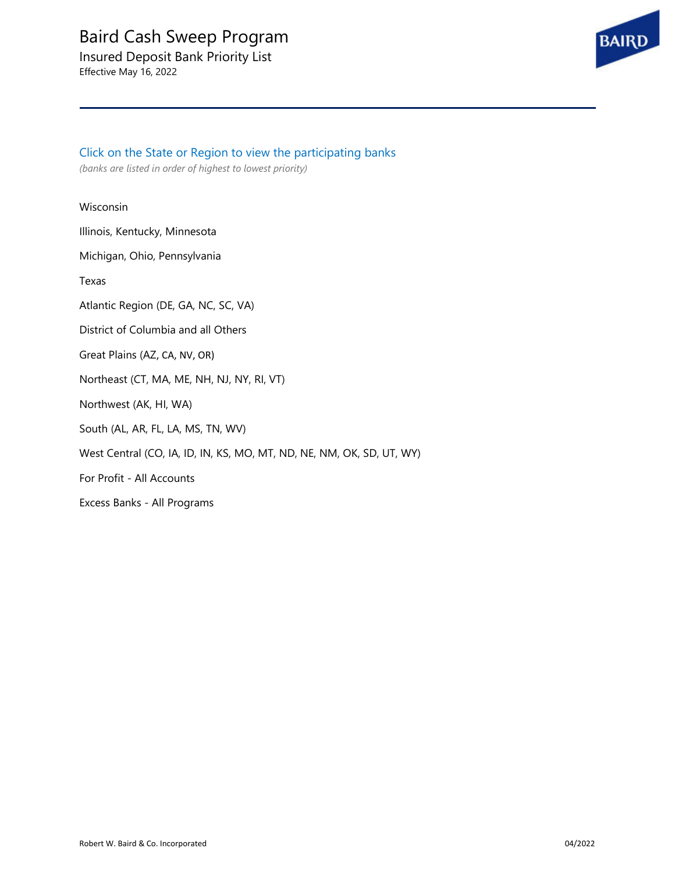Insured Deposit Bank Priority List Effective May 16, 2022



Click on the State or Region to view the participating banks *(banks are listed in order of highest to lowest priority)*

#### [Wisconsin](#page-1-0)

[Illinois, Kentucky, Minnesota](#page-1-0)

[Michigan, Ohio, Pennsylvania](#page-1-0)

[Texas](#page-2-0)

[Atlantic Region \(DE, GA, NC, SC, VA\)](#page-2-0)

[District of Columbia and all Others](#page-2-0)

[Great Plains \(AZ](#page-3-0), CA, NV, OR)

Northeast [\(CT, MA, ME, NH, NJ, NY, RI, VT\)](#page-3-0)

Northwest [\(AK, HI, WA\)](#page-3-0)

South [\(AL, AR, FL, LA, MS, TN, WV\)](#page-4-0)

West Central [\(CO, IA, ID, IN, KS, MO, MT, ND, NE, NM, OK, SD, UT, WY\)](#page-4-0)

For Profit - [All Accounts](#page-4-0)

[Excess Banks -](#page-4-0) All Programs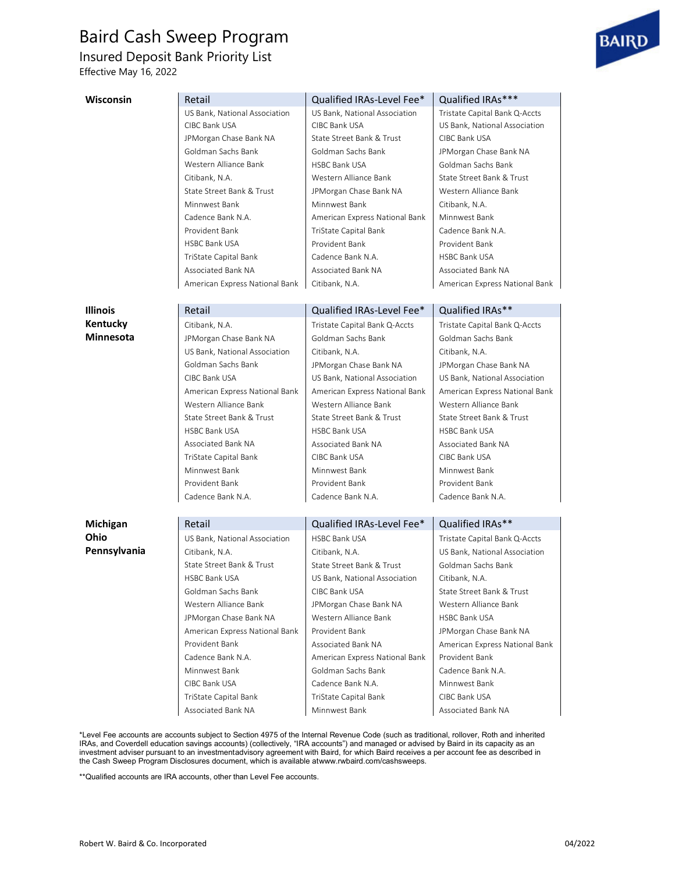<span id="page-1-0"></span>Insured Deposit Bank Priority List

Effective May 16, 2022



| <b>Wisconsin</b> | Retail                                              | Qualified IRAs-Level Fee*      | Qualified IRAs***                                   |
|------------------|-----------------------------------------------------|--------------------------------|-----------------------------------------------------|
|                  | US Bank, National Association                       | US Bank, National Association  | Tristate Capital Bank Q-Accts                       |
|                  | CIBC Bank USA                                       | CIBC Bank USA                  | US Bank, National Association                       |
|                  | JPMorgan Chase Bank NA                              | State Street Bank & Trust      | CIBC Bank USA                                       |
|                  | Goldman Sachs Bank                                  | Goldman Sachs Bank             | JPMorgan Chase Bank NA                              |
|                  | Western Alliance Bank                               | <b>HSBC Bank USA</b>           | Goldman Sachs Bank                                  |
|                  | Citibank, N.A.                                      | Western Alliance Bank          | State Street Bank & Trust                           |
|                  | State Street Bank & Trust                           | JPMorgan Chase Bank NA         | Western Alliance Bank                               |
|                  | Minnwest Bank                                       | Minnwest Bank                  | Citibank, N.A.                                      |
|                  | Cadence Bank N.A.                                   | American Express National Bank | Minnwest Bank                                       |
|                  | Provident Bank                                      | TriState Capital Bank          | Cadence Bank N.A.                                   |
|                  | <b>HSBC Bank USA</b>                                | Provident Bank                 | Provident Bank                                      |
|                  | TriState Capital Bank                               | Cadence Bank N.A.              | <b>HSBC Bank USA</b>                                |
|                  | Associated Bank NA                                  | Associated Bank NA             | Associated Bank NA                                  |
|                  | American Express National Bank                      | Citibank, N.A.                 | American Express National Bank                      |
| Illinois         | Retail                                              | Qualified IRAs-Level Fee*      | Qualified IRAs**                                    |
| Kentucky         |                                                     | Tristate Capital Bank Q-Accts  |                                                     |
| <b>Minnesota</b> | Citibank, N.A.<br>JPMorgan Chase Bank NA            | Goldman Sachs Bank             | Tristate Capital Bank Q-Accts<br>Goldman Sachs Bank |
|                  |                                                     |                                |                                                     |
|                  | US Bank, National Association<br>Goldman Sachs Bank | Citibank, N.A.                 | Citibank, N.A.                                      |
|                  |                                                     | JPMorgan Chase Bank NA         | JPMorgan Chase Bank NA                              |
|                  | CIBC Bank USA                                       | US Bank, National Association  | US Bank, National Association                       |
|                  | American Express National Bank                      | American Express National Bank | American Express National Bank                      |
|                  | Western Alliance Bank                               | Western Alliance Bank          | Western Alliance Bank                               |
|                  | State Street Bank & Trust                           | State Street Bank & Trust      | State Street Bank & Trust                           |
|                  | <b>HSBC Bank USA</b>                                | <b>HSBC Bank USA</b>           | <b>HSBC Bank USA</b>                                |
|                  | Associated Bank NA                                  | Associated Bank NA             | Associated Bank NA                                  |
|                  | TriState Capital Bank                               | CIBC Bank USA                  | CIBC Bank USA                                       |
|                  | Minnwest Bank                                       | Minnwest Bank                  | Minnwest Bank                                       |
|                  | Provident Bank                                      | Provident Bank                 | Provident Bank                                      |
|                  | Cadence Bank N.A.                                   | Cadence Bank N.A.              | Cadence Bank N.A.                                   |
| Michigan         | Retail                                              | Qualified IRAs-Level Fee*      | Qualified IRAs**                                    |
| <b>Ohio</b>      | US Bank, National Association                       | <b>HSBC Bank USA</b>           | Tristate Capital Bank Q-Accts                       |
| Pennsylvania     | Citibank, N.A.                                      | Citibank, N.A.                 | US Bank, National Association                       |
|                  | State Street Bank & Trust                           | State Street Bank & Trust      | Goldman Sachs Bank                                  |
|                  | <b>HSBC Bank USA</b>                                | US Bank, National Association  | Citibank, N.A.                                      |
|                  | Goldman Sachs Bank                                  | CIBC Bank USA                  | State Street Bank & Trust                           |
|                  | Western Alliance Bank                               | JPMorgan Chase Bank NA         | Western Alliance Bank                               |
|                  | JPMorgan Chase Bank NA                              | Western Alliance Bank          | HSBC Bank USA                                       |
|                  | American Express National Bank                      | Provident Bank                 | JPMorgan Chase Bank NA                              |
|                  | Provident Bank                                      | Associated Bank NA             | American Express National Bank                      |
|                  | Cadence Bank N.A.                                   | American Express National Bank | Provident Bank                                      |
|                  | Minnwest Bank                                       | Goldman Sachs Bank             | Cadence Bank N.A.                                   |
|                  | CIBC Bank USA                                       | Cadence Bank N.A.              | Minnwest Bank                                       |
|                  | TriState Capital Bank                               | TriState Capital Bank          | CIBC Bank USA                                       |
|                  | Associated Bank NA                                  | Minnwest Bank                  | Associated Bank NA                                  |
|                  |                                                     |                                |                                                     |

\*Level Fee accounts are accounts subject to Section 4975 of the Internal Revenue Code (such as traditional, rollover, Roth and inherited IRAs, and Coverdell education savings accounts) (collectively, "IRA accounts") and managed or advised by Baird in its capacity as an investment adviser pursuant to an investmentadvisory agreement with Baird, for which Baird receives a per account fee as described in the Cash Sweep Program Disclosures document, which is available [atwww.rwbaird.com/cashsweeps.](http://www.rwbaird.com/cashsweeps)

\*\*Qualified accounts are IRA accounts, other than Level Fee accounts.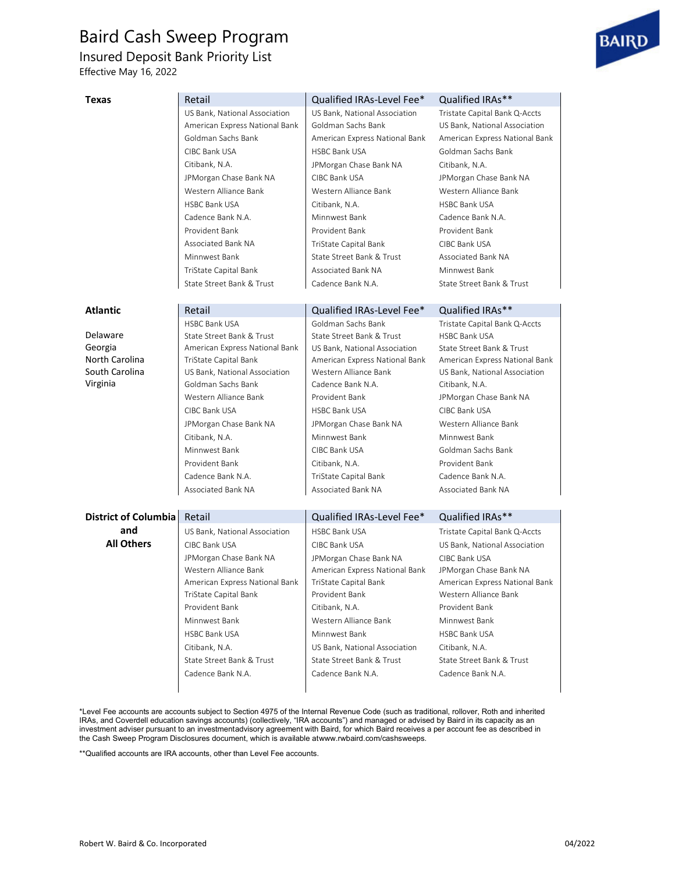<span id="page-2-0"></span>Insured Deposit Bank Priority List

Effective May 16, 2022

| Texas                | Retail                         | Qualified IRAs-Level Fee*      | Qualified IRAs**               |
|----------------------|--------------------------------|--------------------------------|--------------------------------|
|                      | US Bank, National Association  | US Bank, National Association  | Tristate Capital Bank Q-Accts  |
|                      | American Express National Bank | Goldman Sachs Bank             | US Bank, National Association  |
|                      | Goldman Sachs Bank             | American Express National Bank | American Express National Bank |
|                      | CIBC Bank USA                  | <b>HSBC Bank USA</b>           | Goldman Sachs Bank             |
|                      | Citibank, N.A.                 | JPMorgan Chase Bank NA         | Citibank, N.A.                 |
|                      | JPMorgan Chase Bank NA         | CIBC Bank USA                  | JPMorgan Chase Bank NA         |
|                      | Western Alliance Bank          | Western Alliance Bank          | Western Alliance Bank          |
|                      | <b>HSBC Bank USA</b>           | Citibank, N.A.                 | <b>HSBC Bank USA</b>           |
|                      | Cadence Bank N.A.              | Minnwest Bank                  | Cadence Bank N.A.              |
|                      | Provident Bank                 | Provident Bank                 | Provident Bank                 |
|                      | Associated Bank NA             | TriState Capital Bank          | CIBC Bank USA                  |
|                      | Minnwest Bank                  | State Street Bank & Trust      | Associated Bank NA             |
|                      | TriState Capital Bank          | Associated Bank NA             | Minnwest Bank                  |
|                      | State Street Bank & Trust      | Cadence Bank N.A.              | State Street Bank & Trust      |
|                      |                                |                                |                                |
| <b>Atlantic</b>      | Retail                         | Qualified IRAs-Level Fee*      | Qualified IRAs**               |
|                      | <b>HSBC Bank USA</b>           | Goldman Sachs Bank             | Tristate Capital Bank Q-Accts  |
| Delaware             | State Street Bank & Trust      | State Street Bank & Trust      | <b>HSBC Bank USA</b>           |
| Georgia              | American Express National Bank | US Bank, National Association  | State Street Bank & Trust      |
| North Carolina       | TriState Capital Bank          | American Express National Bank | American Express National Bank |
| South Carolina       | US Bank, National Association  | Western Alliance Bank          | US Bank, National Association  |
| Virginia             | Goldman Sachs Bank             | Cadence Bank N.A.              | Citibank, N.A.                 |
|                      | Western Alliance Bank          | Provident Bank                 | JPMorgan Chase Bank NA         |
|                      | CIBC Bank USA                  | <b>HSBC Bank USA</b>           | CIBC Bank USA                  |
|                      | JPMorgan Chase Bank NA         | JPMorgan Chase Bank NA         | Western Alliance Bank          |
|                      | Citibank, N.A.                 | Minnwest Bank                  | Minnwest Bank                  |
|                      | Minnwest Bank                  | CIBC Bank USA                  | Goldman Sachs Bank             |
|                      | Provident Bank                 | Citibank, N.A.                 | Provident Bank                 |
|                      | Cadence Bank N.A.              | TriState Capital Bank          | Cadence Bank N.A.              |
|                      | Associated Bank NA             | Associated Bank NA             | Associated Bank NA             |
|                      |                                |                                |                                |
| District of Columbia | Retail                         | Qualified IRAs-Level Fee*      | Qualified IRAs**               |
| and                  | US Bank, National Association  | <b>HSBC Bank USA</b>           | Tristate Capital Bank Q-Accts  |
| <b>All Others</b>    | CIBC Bank USA                  | CIBC Bank USA                  | US Bank, National Association  |
|                      | JPMorgan Chase Bank NA         | JPMorgan Chase Bank NA         | CIBC Bank USA                  |
|                      | Western Alliance Bank          | American Express National Bank | JPMorgan Chase Bank NA         |
|                      | American Express National Bank | TriState Capital Bank          | American Express National Bank |
|                      | TriState Capital Bank          | Provident Bank                 | Western Alliance Bank          |
|                      | Provident Bank                 | Citibank, N.A.                 | Provident Bank                 |
|                      | Minnwest Bank                  | Western Alliance Bank          | Minnwest Bank                  |
|                      | <b>HSBC Bank USA</b>           | Minnwest Bank                  | <b>HSBC Bank USA</b>           |
|                      | Citibank, N.A.                 | US Bank, National Association  | Citibank, N.A.                 |
|                      | State Street Bank & Trust      | State Street Bank & Trust      | State Street Bank & Trust      |
|                      | Cadence Bank N.A.              | Cadence Bank N.A.              | Cadence Bank N.A.              |
|                      |                                |                                |                                |
|                      |                                |                                |                                |

\*Level Fee accounts are accounts subject to Section 4975 of the Internal Revenue Code (such as traditional, rollover, Roth and inherited IRAs, and Coverdell education savings accounts) (collectively, "IRA accounts") and managed or advised by Baird in its capacity as an investment adviser pursuant to an investmentadvisory agreement with Baird, for which Baird receives a per account fee as described in the Cash Sweep Program Disclosures document, which is available [atwww.rwbaird.com/cashsweeps.](http://www.rwbaird.com/cashsweeps)

\*\*Qualified accounts are IRA accounts, other than Level Fee accounts.

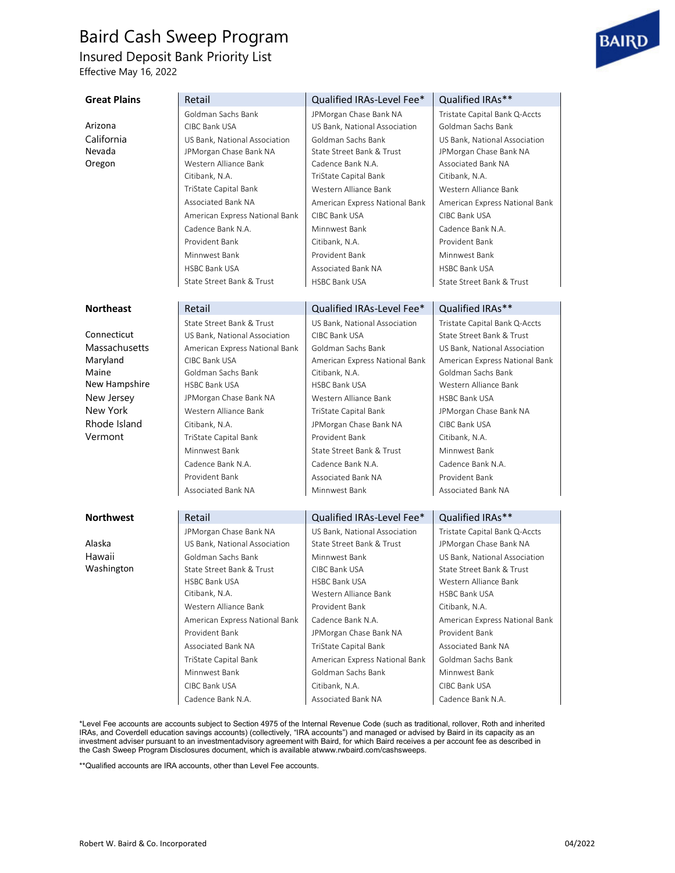<span id="page-3-0"></span>Insured Deposit Bank Priority List

Effective May 16, 2022

| <b>Great Plains</b> | Retail                                                  | Qualified IRAs-Level Fee*                                  | Qualified IRAs**                                        |
|---------------------|---------------------------------------------------------|------------------------------------------------------------|---------------------------------------------------------|
|                     | Goldman Sachs Bank                                      | JPMorgan Chase Bank NA                                     | Tristate Capital Bank Q-Accts                           |
| Arizona             | CIBC Bank USA                                           | US Bank, National Association                              | Goldman Sachs Bank                                      |
| California          | US Bank, National Association                           | Goldman Sachs Bank                                         | US Bank, National Association                           |
| Nevada              | JPMorgan Chase Bank NA                                  | State Street Bank & Trust                                  | JPMorgan Chase Bank NA                                  |
| Oregon              | Western Alliance Bank                                   | Cadence Bank N.A.                                          | Associated Bank NA                                      |
|                     | Citibank, N.A.                                          | TriState Capital Bank                                      | Citibank, N.A.                                          |
|                     | TriState Capital Bank                                   | Western Alliance Bank                                      | Western Alliance Bank                                   |
|                     | Associated Bank NA                                      | American Express National Bank                             | American Express National Bank                          |
|                     | American Express National Bank                          | CIBC Bank USA                                              | CIBC Bank USA                                           |
|                     | Cadence Bank N.A.                                       | Minnwest Bank                                              | Cadence Bank N.A.                                       |
|                     | Provident Bank                                          | Citibank, N.A.                                             | Provident Bank                                          |
|                     | Minnwest Bank                                           | Provident Bank                                             | Minnwest Bank                                           |
|                     | <b>HSBC Bank USA</b>                                    | Associated Bank NA                                         | <b>HSBC Bank USA</b>                                    |
|                     | State Street Bank & Trust                               | <b>HSBC Bank USA</b>                                       | State Street Bank & Trust                               |
|                     |                                                         |                                                            |                                                         |
| <b>Northeast</b>    | Retail                                                  | Qualified IRAs-Level Fee*                                  | Qualified IRAs**                                        |
|                     | State Street Bank & Trust                               | US Bank. National Association                              | Tristate Capital Bank Q-Accts                           |
| Connecticut         | US Bank, National Association                           | CIBC Bank USA                                              | State Street Bank & Trust                               |
| Massachusetts       | American Express National Bank                          | Goldman Sachs Bank                                         | US Bank, National Association                           |
| Maryland            | CIBC Bank USA                                           | American Express National Bank                             | American Express National Bank                          |
| Maine               | Goldman Sachs Bank                                      | Citibank, N.A.                                             | Goldman Sachs Bank                                      |
| New Hampshire       | <b>HSBC Bank USA</b>                                    | <b>HSBC Bank USA</b>                                       | Western Alliance Bank                                   |
| New Jersey          | JPMorgan Chase Bank NA                                  | Western Alliance Bank                                      | <b>HSBC Bank USA</b>                                    |
| New York            | Western Alliance Bank                                   | TriState Capital Bank                                      | JPMorgan Chase Bank NA                                  |
| Rhode Island        | Citibank, N.A.                                          | JPMorgan Chase Bank NA                                     | CIBC Bank USA                                           |
| Vermont             | TriState Capital Bank                                   | Provident Bank                                             | Citibank, N.A.                                          |
|                     | Minnwest Bank                                           | State Street Bank & Trust                                  | Minnwest Bank                                           |
|                     | Cadence Bank N.A.                                       | Cadence Bank N.A.                                          | Cadence Bank N.A.                                       |
|                     | Provident Bank                                          | Associated Bank NA                                         | Provident Bank                                          |
|                     | Associated Bank NA                                      | Minnwest Bank                                              | Associated Bank NA                                      |
| <b>Northwest</b>    | Retail                                                  | Qualified IRAs-Level Fee*                                  | Qualified IRAs**                                        |
|                     |                                                         |                                                            |                                                         |
| Alaska              | JPMorgan Chase Bank NA<br>US Bank, National Association | US Bank, National Association<br>State Street Bank & Trust | Tristate Capital Bank Q-Accts<br>JPMorgan Chase Bank NA |
| Hawaii              | Goldman Sachs Bank                                      | Minnwest Bank                                              | US Bank, National Association                           |
| Washington          | State Street Bank & Trust                               | CIBC Bank USA                                              | State Street Bank & Trust                               |
|                     | HSBC Bank USA                                           | <b>HSBC Bank USA</b>                                       | Western Alliance Bank                                   |
|                     | Citibank, N.A.                                          | Western Alliance Bank                                      | <b>HSBC Bank USA</b>                                    |
|                     | Western Alliance Bank                                   | Provident Bank                                             | Citibank, N.A.                                          |
|                     | American Express National Bank                          | Cadence Bank N.A.                                          | American Express National Bank                          |
|                     | Provident Bank                                          | JPMorgan Chase Bank NA                                     | Provident Bank                                          |
|                     | Associated Bank NA                                      | TriState Capital Bank                                      | Associated Bank NA                                      |
|                     | TriState Capital Bank                                   | American Express National Bank                             | Goldman Sachs Bank                                      |
|                     | Minnwest Bank                                           | Goldman Sachs Bank                                         | Minnwest Bank                                           |
|                     | CIBC Bank USA                                           | Citibank, N.A.                                             | CIBC Bank USA                                           |
|                     | Cadence Bank N.A.                                       | Associated Bank NA                                         | Cadence Bank N.A.                                       |
|                     |                                                         |                                                            |                                                         |

\*Level Fee accounts are accounts subject to Section 4975 of the Internal Revenue Code (such as traditional, rollover, Roth and inherited IRAs, and Coverdell education savings accounts) (collectively, "IRA accounts") and managed or advised by Baird in its capacity as an investment adviser pursuant to an investmentadvisory agreement with Baird, for which Baird receives a per account fee as described in the Cash Sweep Program Disclosures document, which is available [atwww.rwbaird.com/cashsweeps.](http://www.rwbaird.com/cashsweeps)

\*\*Qualified accounts are IRA accounts, other than Level Fee accounts.